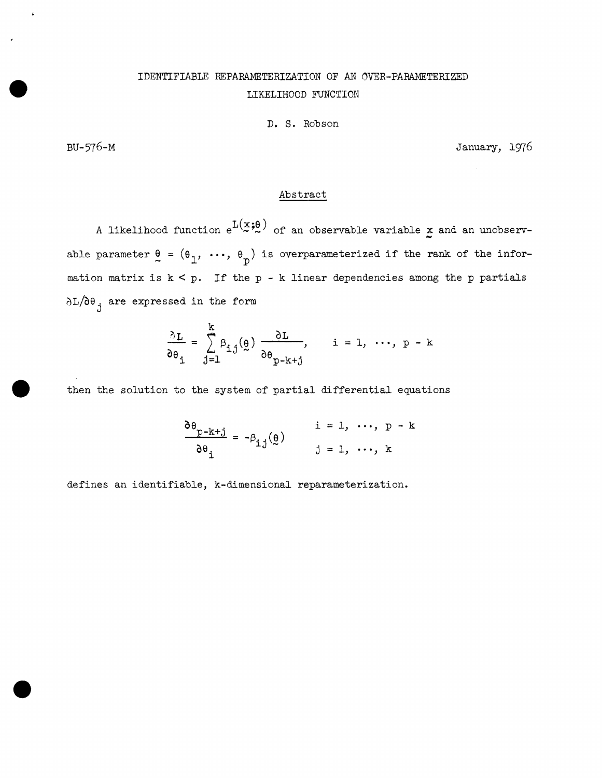## IDENTIFIABLE REPARAMETERIZATION OF AN OVER-PARAMETERIZED LIKELIHOOD FUNCTION

## D. S. Robson

BU-576-M January, 1976

## Abstract

A likelihood function  $e^{L(x;\theta)}$  of an observable variable x and an unobservable parameter  $\theta = (\theta_1, \ldots, \theta_p)$  is overparameterized if the rank of the information matrix is k < *p.* If the *p* - k linear dependencies among the *p* partials  $\delta L/\delta \theta$  are expressed in the form

$$
\frac{\partial L}{\partial \theta_i} = \sum_{j=1}^{k} \beta_{i,j}(\underline{\theta}) \frac{\partial L}{\partial \theta_{p-k+j}}, \quad i = 1, \dots, p-k
$$

then the solution to the system of partial differential equations

$$
\frac{\partial \theta_{p-k+j}}{\partial \theta_i} = -\beta_{ij}(\underline{\theta}) \qquad \begin{array}{c} i = 1, \cdots, p-k \\ j = 1, \cdots, k \end{array}
$$

defines an identifiable, k-dimensional reparameterization.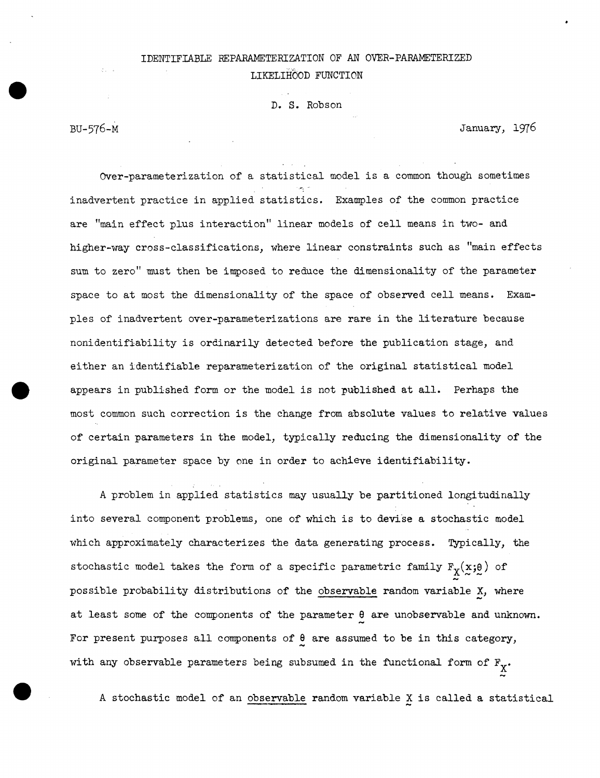## IDENTIFIABLE REPARAMETERIZATION OF AN OVER-PARAMETERIZED LIKELIHOOD FUNCTION

D. S. Robson

BU-576-M January, 1976

Over-parameterization of a statistical model is a common though sometimes inadvertent practice in applied statistics. Examples of the common practice are "main effect plus interaction" linear models of cell means in two- and higher-way cross-classifications, where linear constraints such as "main effects sum to zero" must then be imposed to reduce the dimensionality of the parameter space to at most the dimensionality of the space of observed cell means. Examples of inadvertent over-parameterizations are rare in the literature because nonidentifiability is ordinarily detected before the publication stage, and either an identifiable reparameterization of the original statistical model appears in published form or the model is not published at all. Perhaps the most common such correction is the change from absolute values to relative values of certain parameters in the model, typically reducing the dimensionality of the original parameter space by one in order to achieve identifiability.

A problem in applied statistics may usually be partitioned longitudinally into several component problems, one of which is to devise a stochastic model which approximately characterizes the data generating process. Typically, the stochastic model takes the form of a specific parametric family  $F_Y(x; \theta)$  of possible probability distributions of the observable random variable X, where at least some of the components of the parameter 9 are unobservable and unknown. For present purposes all components of  $\theta$  are assumed to be in this category, with any observable parameters being subsumed in the functional form of  $F_X$ .

A stochastic model of an observable random variable X is called a statistical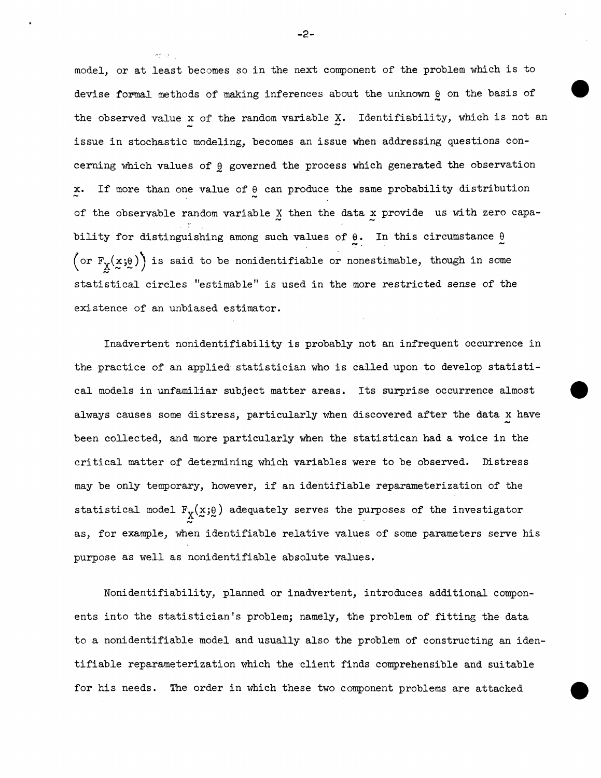model, or at least becomes so in the next component of the problem which is to devise formal methods of making inferences about the unknown  $\theta$  on the basis of the observed value x of the random variable  $X$ . Identifiability, which is not an issue in stochastic modeling, becomes an issue when addressing questions concerning which values of  $\theta$  governed the process which generated the observation x. If more than one value of  $\theta$  can produce the same probability distribution of the observable random variable  $X$  then the data x provide us with zero capability for distinguishing among such values of  $\theta$ . In this circumstance  $\theta$  $\big($  or  $F_{X}(x;\theta)$  is said to be nonidentifiable or nonestimable, though in some statistical circles "estimable" is used in the more restricted sense of the existence of an unbiased estimator.

Inadvertent nonidentifiability is probably not an infrequent occurrence in the practice of an applied statistician who is called upon to develop statistical models in unfamiliar subject matter areas. Its surprise occurrence almost always causes some distress, particularly when discovered after the data x have been collected, and more particularly when the statistican had a voice in the critical matter of determining which variables were to be observed. Distress may be only temporary, however, if an identifiable reparameterization of the statistical model  $F_X(x;\theta)$  adequately serves the purposes of the investigator as, for example, when identifiable relative values of some parameters serve his purpose as well as nonidentifiable absolute values.

Nonidentifiability, planned or inadvertent, introduces additional components into the statistician's problem; namely, the problem of fitting the data to a nonidentifiable model and usually also the problem of constructing an identifiable reparameterization which the client finds comprehensible and suitable for his needs. The order in which these two component problems are attacked

-2-

.... -· ..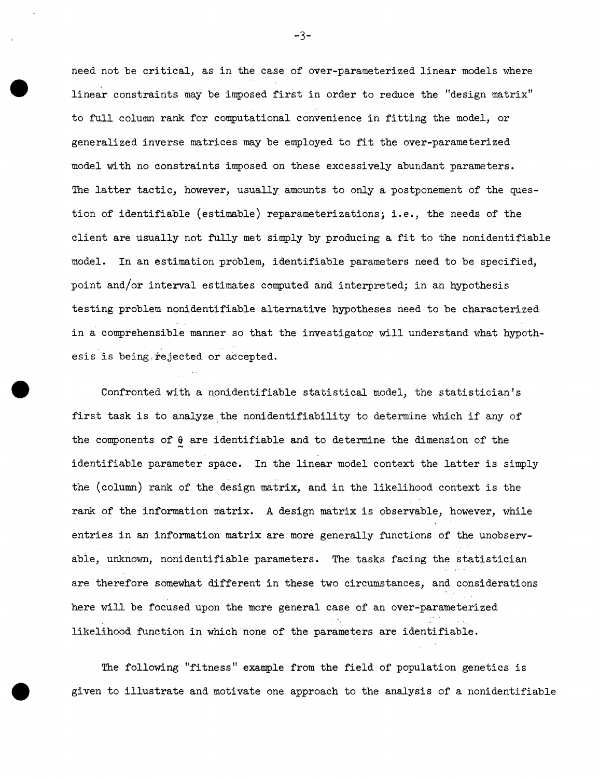need not be critical, as in the case of over-parameterized linear models where linear constraints may be imposed first in order to reduce the "design matrix" to full column rank for computational convenience in fitting the model, or generalized inverse matrices may be employed to fit the over-parameterized model with no constraints imposed on these excessively abundant parameters. The latter tactic, however, usually amounts to only a postponement of the question of identifiable (estimable) reparameterizations; i.e., the needs of the client are usually not fully met simply by producing a fit to the nonidentifiable model. In an estimation problem, identifiable parameters need to be specified, point and/or interval estimates computed and interpreted; in an hypothesis testing problem nonidentifiable alternative hypotheses need to be characterized in a comprehensible manner so that the investigator will understand what hypothesis is being rejected or accepted.

Confronted with a nonidentifiable statistical model, the statistician's first task is to analyze the nonidentifiability to determine which if any of the components of  $\theta$  are identifiable and to determine the dimension of the identifiable parameter space. In the linear model context the latter is simply the (column) rank of the design matrix, and in the likelihood context is the rank of the information matrix. A design matrix is observable, however, while entries in an information matrix are more generally functions of the unobservable, unknovm, nonidentifiable parameters. The tasks facing the statistician are therefore somewhat different in these two circumstances, and considerations here will be focused upon the more general case of an over-parameterized likelihood function in which'none of the parameters are identifiable.

The following "fitness" example from the field of population genetics is given to illustrate and motivate one approach to the analysis of a nonidentifiable

-3-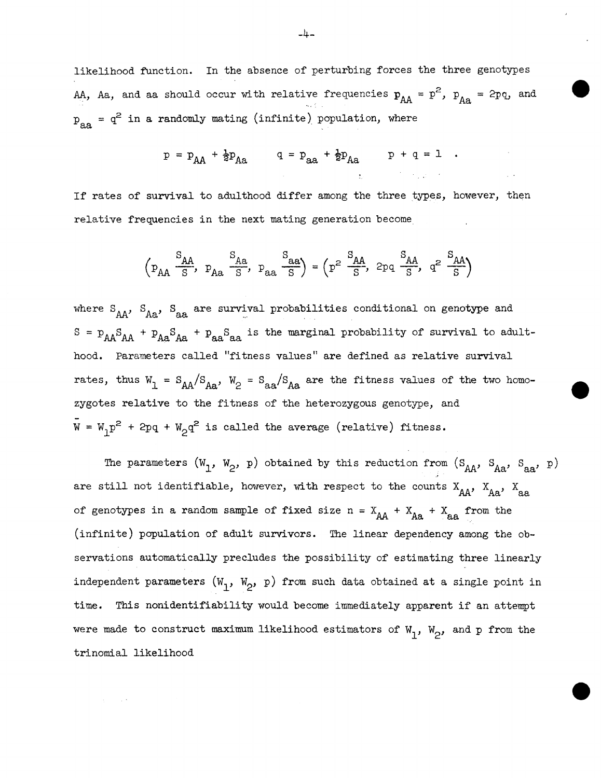likelihood function. In the absence of perturbing forces the three genotypes AA, Aa, and aa should occur with relative frequencies  $p_{AA} = p^2$ ,  $p_{AA} = 2pq$ , and  $p_{aa} = q^2$  in a randomly mating (infinite) population, where

$$
p = p_{AA} + \frac{1}{2}p_{Aa}
$$
  $q = p_{aa} + \frac{1}{2}p_{Aa}$   $p + q = 1$ .

If rates of survival to adulthood differ among the three types, however, then relative frequencies in the next mating generation become.

$$
\left(\begin{smallmatrix} S_{AA} & S_{AA} & S_{Aa} \\ \hline S & S_{AA} & S_{Aa} \end{smallmatrix}\right), \ \ P_{AA} \xrightarrow[S_{AA}]{S_{AA}} = \left(\begin{smallmatrix} P^2 & S_{AA} & S_{AA} \\ \hline S & S_{AA} & S_{AA} \end{smallmatrix}\right), \ \ Q^2 \xrightarrow[S]{S_{AA}} \qquad Q^2 \xrightarrow[S]{S_{AA}} \right)
$$

where  $S_{AA'}$ ,  $S_{Aa}$ ,  $S_{aa}$  are survival probabilities conditional on genotype and  $S = P_{AA}S_{AA} + P_{Aa}S_{Aa} + P_{aa}S_{aa}$  is the marginal probability of survival to adulthood. Parameters called "fitness values" are defined as relative survival rates, thus  $W_1 = S_{AA}/S_{Aa}$ ,  $W_2 = S_{aa}/S_{Aa}$  are the fitness values of the two homozygotes relative to the fitness of the heterozygous genotype, and  $\bar{W} = W_1 p^2 + 2pq + W_2 q^2$  is called the average (relative) fitness.

The parameters  $(W_1, W_2, p)$  obtained by this reduction from  $(S_{AA}, S_{Aa}, S_{aa}, p)$ are still not identifiable, however, with respect to the counts  $X_{AA}$ ,  $X_{Aa}$ ,  $X_{aa}$ of genotypes in a random sample of fixed size n =  $X_{AA}$  +  $X_{Aa}$  +  $X_{aa}$  from the (infinite) population of adult survivors. The linear dependency among the observations automatically precludes the possibility of estimating three linearly independent parameters  $(W_1, W_2, p)$  from such data obtained at a single point in time. This nonidentifiability would become immediately apparent if an attempt were made to construct maximum likelihood estimators of  $W_1$ ,  $W_2$ , and p from the trinomial likelihood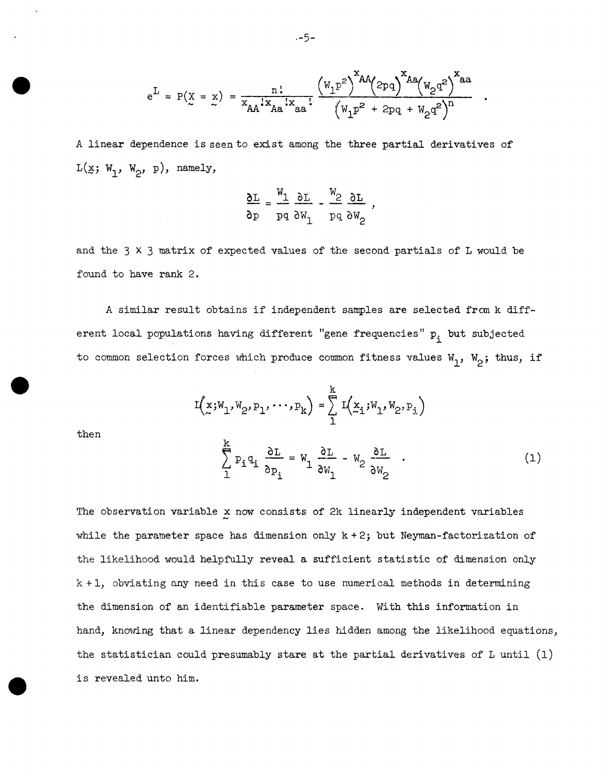$$
e^{L} = P(X = x) = \frac{n!}{x_{AA}!x_{Aa}!x_{aa}!} \cdot \frac{(w_1p^2)^{xAA}(2pq)^{XAa}(w_2q^2)^{xa}}{(w_1p^2 + 2pq + w_2q^2)^{n}}
$$

A linear dependence is seen to exist among the three partial derivatives of  $L(\underline{x}; W_1, W_2, p)$ , namely,

$$
\frac{\partial L}{\partial p} = \frac{w_1}{w_1} \frac{\partial L}{\partial p} - \frac{w_2}{w_2} \frac{\partial L}{\partial p}
$$

and the 3 X 3 matrix of expected values of the second partials of L would be found to have rank 2.

A similar result obtains if independent samples are selected frcm k different local populations having different "gene frequencies"  $p_i$  but subjected to common selection forces which produce common fitness values  $W_1$ ,  $W_2$ ; thus, if

$$
I(x;W_1,W_2,P_1,\cdots,P_k) = \sum_{1}^{k} I(x_1;W_1,W_2,P_1)
$$

then

$$
\sum_{1}^{k} P_{i} q_{i} \frac{\partial L}{\partial p_{i}} = W_{1} \frac{\partial L}{\partial W_{1}} - W_{2} \frac{\partial L}{\partial W_{2}} \quad . \tag{1}
$$

The observation variable *x* now consists of 2k linearly independent variables while the parameter space has dimension only  $k + 2$ ; but Neyman-factorization of the likelihood would helpfully reveal a sufficient statistic of dimension only  $k + 1$ , obviating any need in this case to use numerical methods in determining the dimension of an identifiable parameter space. With this information in hand, knowing that a linear dependency lies hidden among the likelihood equations, the statistician could presumably stare at the partial derivatives of L until (l) is revealed unto him.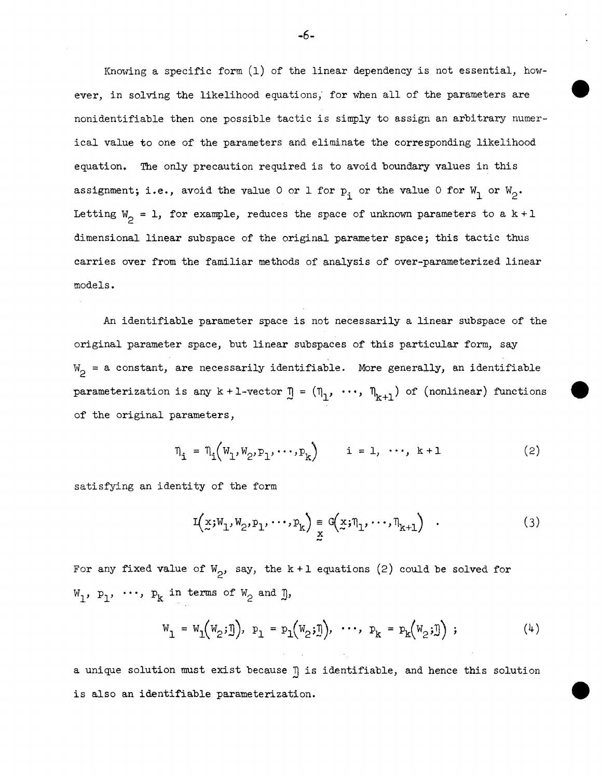Knowing a specific form (1) of the linear dependency is not essential, however, in solving the likelihood equations; for when all of the parameters are nonidentifiable then one possible tactic is simply to assign an arbitrary numerical value to one of the parameters and eliminate the corresponding likelihood equation. The only precaution required is to avoid boundary values in this assignment; i.e., avoid the value 0 or 1 for  $p_i$  or the value 0 for  $W_1$  or  $W_2$ . Letting  $W_2 = 1$ , for example, reduces the space of unknown parameters to a  $k + 1$ dimensional linear subspace of the original parameter space; this tactic thus carries over from the familiar methods of analysis of over-parameterized linear models.

An identifiable parameter space is not necessarily a linear subspace of the original parameter space, but linear subspaces of this particular form, say  $W_{2}$  = a constant, are necessarily identifiable. More generally, an identifiable parameterization is any  $k + 1$ -vector  $\mathbb{I} = (\eta_1, \dots, \eta_{k+1})$  of (nonlinear) functions of the original parameters,

$$
\eta_{i} = \eta_{i}(W_{1}, W_{2}, P_{1}, \cdots, P_{k}) \qquad i = 1, \cdots, k+1 \qquad (2)
$$

satisfying an identity of the form

$$
I(x;W_1,W_2,P_1,\cdots,P_k) \underset{x}{\equiv} G(x;\eta_1,\cdots,\eta_{k+1}) \quad . \tag{3}
$$

For any fixed value of  $W_{\gamma}$ , say, the k + 1 equations (2) could be solved for  $W_1$ ,  $P_1$ ,  $\cdots$ ,  $P_k$  in terms of  $W_2$  and  $\mathbf{I}$ ,

$$
W_1 = W_1(W_2; \mathbb{I}), \quad P_1 = P_1(W_2; \mathbb{I}), \quad \cdots, \quad P_k = P_k(W_2; \mathbb{I}) \quad ; \tag{4}
$$

a unique solution must exist because  $\eta$  is identifiable, and hence this solution is also an identifiable parameterization.

-6-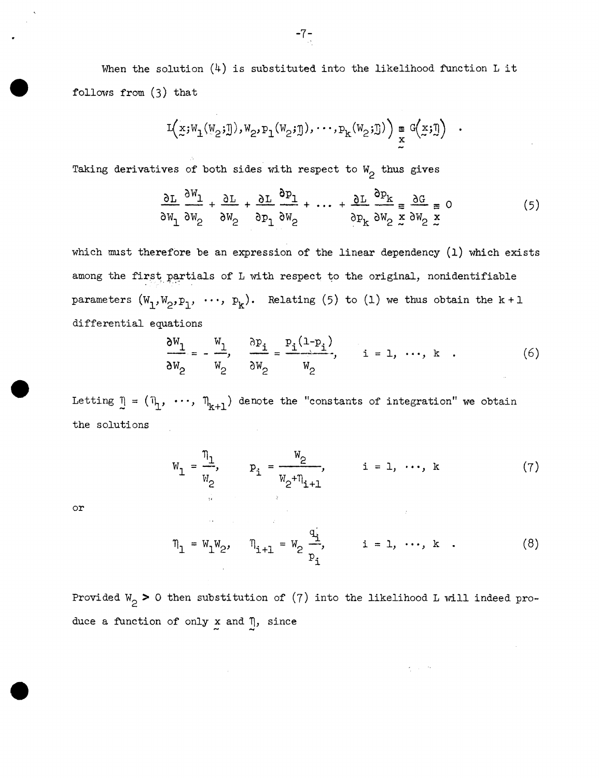When the solution  $(4)$  is substituted into the likelihood function L it follows from (3) that

$$
I(x;W_1(W_2;\mathbb{J}),W_2,P_1(W_2;\mathbb{J}),\cdots,P_k(W_2;\mathbb{J})\big)\underset{x}{\cong}G(x;\mathbb{J})
$$

Taking derivatives of both sides with respect to  $W_2$  thus gives

$$
\frac{\partial L}{\partial w_1} \frac{\partial W_1}{\partial w_2} + \frac{\partial L}{\partial w_2} + \frac{\partial L}{\partial w_1} \frac{\partial p_1}{\partial w_2} + \dots + \frac{\partial L}{\partial w_k} \frac{\partial p_k}{\partial w_2} = \frac{\partial G}{\partial w_2} = 0
$$
(5)

which must therefore be an expression of the linear dependency (1) which exists among the first partials of L with respect to the original, nonidentifiable parameters  $(W_1, W_2, p_1, \cdots, p_k)$ . Relating (5) to (1) we thus obtain the k + 1 differential equations

$$
\frac{\partial W_1}{\partial W_2} = -\frac{W_1}{W_2}, \quad \frac{\partial p_1}{\partial W_2} = \frac{p_1(1-p_1)}{W_2}, \quad i = 1, \dots, k \quad . \tag{6}
$$

Letting  $\eta = (\eta_1, \dots, \eta_{k+1})$  denote the "constants of integration" we obtain the solutions

$$
W_{1} = \frac{\eta_{1}}{W_{2}}, \qquad P_{1} = \frac{W_{2}}{W_{2} + \eta_{1+1}}, \qquad i = 1, \cdots, k \qquad (7)
$$

or

$$
\eta_1 = W_1 W_2, \quad \eta_{i+1} = W_2 \frac{q_i}{p_i}, \quad i = 1, \dots, k \quad . \tag{8}
$$

Provided W<sub>2</sub> > 0 then substitution of (7) into the likelihood L will indeed produce a function of only  $\underset{\sim}{x}$  and  $\underset{\sim}{\eta}$ , since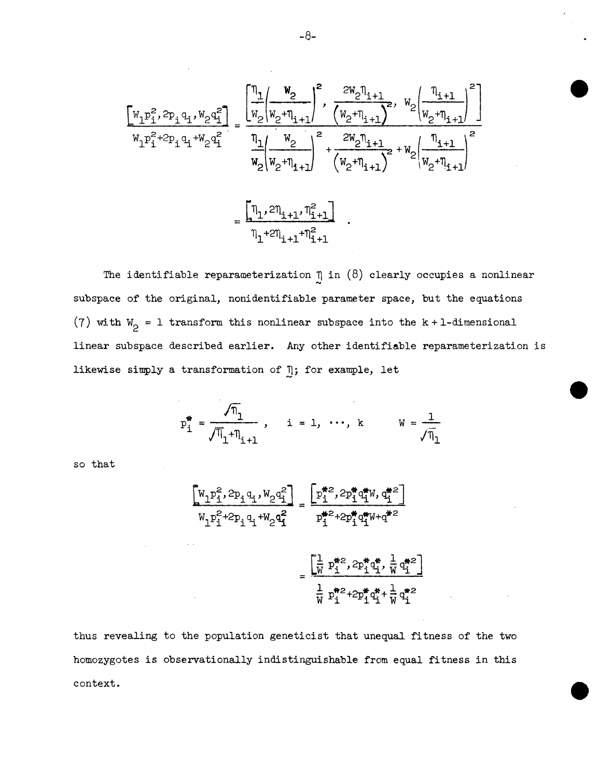$$
\begin{aligned}\n\begin{bmatrix}\nw_1 p_1^2, & 2p_1 q_1, & w_2 q_1^2 \\
w_1 p_1^2 + 2p_1 q_1 + w_2 q_1^2\n\end{bmatrix} &= \frac{\begin{bmatrix}\n\eta_1 & w_2 \\
w_2 \mid w_2 + \eta_{i+1}\n\end{bmatrix}^2, & \frac{2w_2 \eta_{i+1}}{(w_2 + \eta_{i+1})^2}, & w_2 \mid \frac{\eta_{i+1}}{w_2 + \eta_{i+1}}\n\end{bmatrix}^2}{w_2 \mid w_2 + \eta_{i+1}} \\
&= \frac{\begin{bmatrix}\n\eta_1, & 2\eta_1 \\
w_2 + \eta_{i+1}\n\end{bmatrix}^2 + \frac{2w_2 \eta_{i+1}}{(w_2 + \eta_{i+1})^2} + w_2 \mid \frac{\eta_{i+1}}{w_2 + \eta_{i+1}}\n\end{bmatrix}^2}{\eta_1 + 2\eta_{i+1} + \eta_{i+1}^2}.\n\end{aligned}
$$

The identifiable reparameterization  $\eta$  in (8) clearly occupies a nonlinear subspace of the original, nonidentifiable parameter space, but the equations (7) with  $W_2 = 1$  transform this nonlinear subspace into the k + 1-dimensional linear subspace described earlier. Any other identifiable reparameterization is likewise simply a transformation of  $\eta$ ; for example, let

$$
p_1^* = \frac{\sqrt{n_1}}{\sqrt{n_1} + n_{i+1}}
$$
,  $i = 1, \dots, k$   $W = \frac{1}{\sqrt{n_1}}$ 

so that

$$
\begin{aligned}\n\begin{bmatrix}\nW_1 P_1^2, & 2p_1 q_1, & W_2 q_1^2 \\
W_1 P_1^2 + 2p_1 q_1 + W_2 q_1^2\n\end{bmatrix} &= \frac{\left[p_1^{*2}, 2p_1^* q_1^* W, q_1^{*2}\right]}{p_1^{*2} + 2p_1^* q_1^* W + q^{*2}} \\
&= \frac{\left[\frac{1}{W} p_1^{*2}, 2p_1^* q_1^* \right] \cdot \frac{1}{W} q_1^{*2}}{\frac{1}{W} p_1^{*2} + 2p_1^* q_1^* + \frac{1}{W} q_1^{*2}}\n\end{aligned}
$$

thus revealing to the population geneticist that unequal fitness of the two homozygotes is observationally indistinguishable from equal fitness in this context.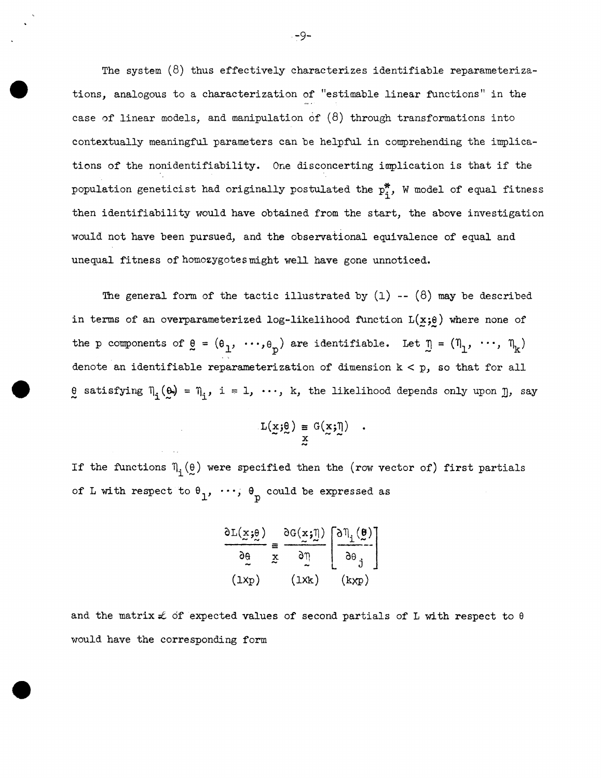The system  $(8)$  thus effectively characterizes identifiable reparameterizations, analogous to a characterization of "estimable linear functions" in the case of linear models, and manipulation of  $(8)$  through transformations into contextually meaningful parameters can be helpful in comprehending the implications of the nonidentifiability. One disconcerting implication is that if the population geneticist had originally postulated the  $p_{\textbf{i}}^*$ , W model of equal fitness then identifiability would have obtained from the start, the above investigation would not have been pursued, and the observational equivalence of equal and unequal fitness of homozygotes might well have gone unnoticed.

The general form of the tactic illustrated by  $(1)$  --  $(8)$  may be described in terms of an overparameterized log-likelihood function  $L(x;e)$  where none of the p components of  $g = (e_1, ..., e_p)$  are identifiable. Let  $g = (n_1, ..., n_k)$ denote an identifiable reparameterization of dimension  $k < p$ , so that for all es satisfying  $\Pi_i(\omega) = \Pi_i$ , i = 1,  $\cdots$ , k, the likelihood depends only upon  $\pi$ , say

$$
L(\underline{x};\underline{\theta}) \equiv G(\underline{x};\underline{\eta})
$$

If the functions  $\Pi_i(\theta)$  were specified then the (row vector of) first partials of L with respect to  $\theta_1$ , ...,  $\theta_p$  could be expressed as

$$
\frac{\partial L(\underline{x}; \theta)}{\partial \theta} \equiv \frac{\partial G(\underline{x}; \underline{\eta})}{\partial \eta} \left[ \frac{\partial \eta_i(\underline{\theta})}{\partial \theta} \right]
$$
  
(1xp) (1xk) (kxp)

and the matrix  $\mathcal L$  of expected values of second partials of L with respect to  $\theta$ would have the corresponding form

-9-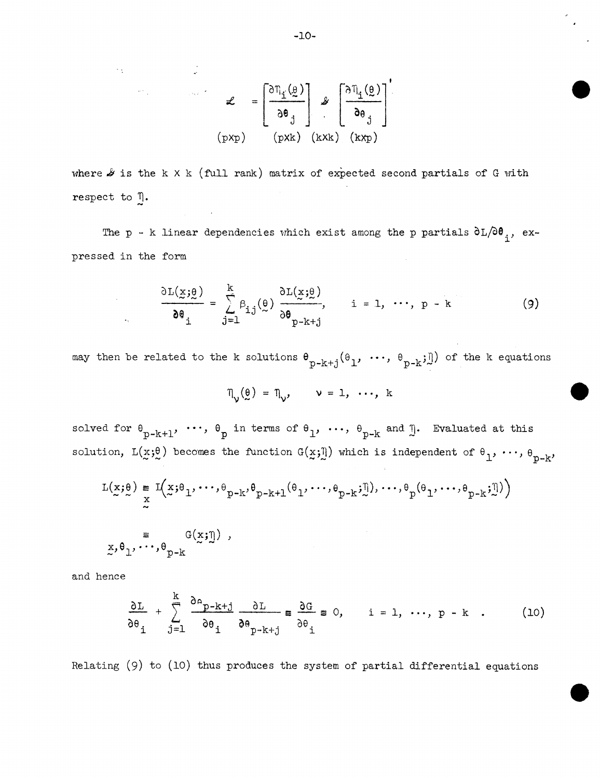$$
\mathcal{L} = \left[\begin{array}{c} \frac{\partial \eta_{i}(\theta)}{\partial \theta_{j}} \\ \frac{\partial \theta_{j}}{\partial \theta_{j}} \end{array}\right] \mathcal{L} \left[\begin{array}{c} \frac{\partial \eta_{i}(\theta)}{\partial \theta_{j}} \\ \frac{\partial \theta_{j}}{\partial \theta_{j}} \end{array}\right]'
$$
\n(pxp)

where  $\mathcal S$  is the k X k (full rank) matrix of expected second partials of G with respect to  $\eta$ .

The p - k linear dependencies which exist among the p partials  $\partial L/\partial \theta$ ,, ex-:pressed in the form

$$
\frac{\partial L(\underline{x};\underline{\theta})}{\partial \theta_i} = \sum_{j=1}^{k} \beta_{ij}(\underline{\theta}) \frac{\partial L(\underline{x};\underline{\theta})}{\partial \theta_{p-k+j}}, \qquad i = 1, \cdots, p-k
$$
 (9)

may then be related to the k solutions  $\theta_{p-k+j}(\theta_1, \ldots, \theta_{p-k};\mathbb{I})$  of the k equations

$$
\eta_{\mathsf{v}}(\mathsf{e}) = \eta_{\mathsf{v}}, \qquad \mathsf{v} = 1, \ldots, k
$$

solved for  $\theta_{p-k+1}$ ,  $\cdots$ ,  $\theta_p$  in terms of  $\theta_1$ ,  $\cdots$ ,  $\theta_{p-k}$  and  $\mathbb{I}$ . Evaluated at this solution,  $L(x;\theta)$  becomes the function  $G(x;\bar{I})$  which is independent of  $\theta_1, \ldots, \theta_{p-k'}$ 

$$
L(x;\theta) = I(x;\theta_1, \dots, \theta_{p-k}, \theta_{p-k+1}(\theta_1, \dots, \theta_{p-k}; \tilde{y}), \dots, \theta_p(\theta_1, \dots, \theta_{p-k}; \tilde{y})
$$
  
\n
$$
= I(x;\theta_1, \dots, \theta_{p-k}, \theta_{p-k+1}(\theta_1, \dots, \theta_{p-k}; \tilde{y}), \dots, \theta_{p-k}; \tilde{y})
$$
  
\n
$$
= I(x;\theta_1, \dots, \theta_{p-k}, \theta_{p-k+1}(\theta_1, \dots, \theta_{p-k}; \tilde{y}), \dots, \theta_{p-k}; \tilde{y})
$$

and hence

 $\sim 10^{11}$ 

 $\sim 10^{-11}$ 

 $\mathcal{L}_{\mathbf{c}}$ 

$$
\frac{\partial L}{\partial \theta_i} + \sum_{j=1}^k \frac{\partial A_{p-k+j}}{\partial \theta_i} \frac{\partial L}{\partial \theta_{p-k+j}} \equiv \frac{\partial G}{\partial \theta_i} \equiv 0, \quad i = 1, \dots, p-k . \quad (10)
$$

Relating (9) to (10) thus produces the system of partial differential equations

-10-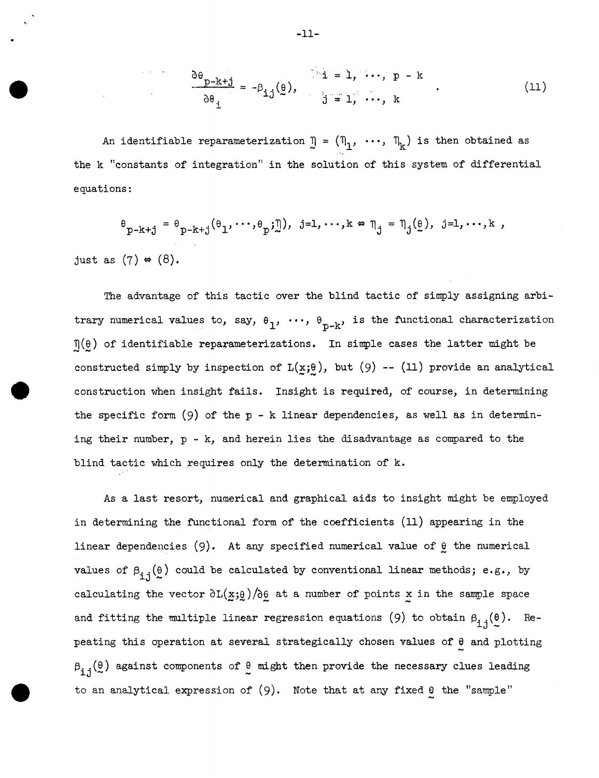$$
\frac{\partial \theta_{p-k+j}}{\partial \theta_i} = -\beta_{ij}(\theta), \qquad \qquad j=1, \cdots, p-k
$$
 (11)

An identifiable reparameterization  $\mathbb{J} = (\mathbb{J}_1, \dots, \mathbb{J}_k)$  is then obtained as the k "constants of integration" in the solution of this system of differential equations:

$$
\Theta_{p-k+j} = \Theta_{p-k+j}(\Theta_1, \dots, \Theta_p; \underline{\eta}), \quad j=1,\dots,k \Leftrightarrow \eta_j = \eta_j(\underline{\theta}), \quad j=1,\dots,k,
$$
just as (7)  $\Leftrightarrow$  (8).

The advantage of this tactic over the blind tactic of simply assigning arbitrary numerical values to, say,  $\theta_1$ ,  $\cdots$ ,  $\theta_{p-k}$ , is the functional characterization  $\eta(\theta)$  of identifiable reparameterizations. In simple cases the latter might be constructed simply by inspection of  $L(x;\theta)$ , but (9) -- (11) provide an analytical construction when insight fails. Insight is required, of course, in determining the specific form  $(9)$  of the p - k linear dependencies, as well as in determining their number,  $p - k$ , and herein lies the disadvantage as compared to the blind tactic which requires only the determination of k.

As a last resort, numerical and graphical aids to insight might be employed in determining the functional form of the coefficients (11) appearing in the linear dependencies  $(9)$ . At any specified numerical value of  $\theta$  the numerical values of  $\beta_{i,j}(\theta)$  could be calculated by conventional linear methods; e.g., by calculating the vector  $\frac{\partial L(x;\theta)}{\partial \theta}$  at a number of points x in the sample space<br>and fitting the multiple linear regression equations (9) to obtain  $\beta_{3,3}(\theta)$ . Re-J peating this operation at several strategically chosen values of  $\theta$  and plotting  $\beta_{\texttt{i},\texttt{j}}(\frac{\theta}{\sim})$  against components of  $\frac{\theta}{\sim}$  might then provide the necessary clues leading to an analytical expression of  $(9)$ . Note that at any fixed  $\theta$  the "sample"